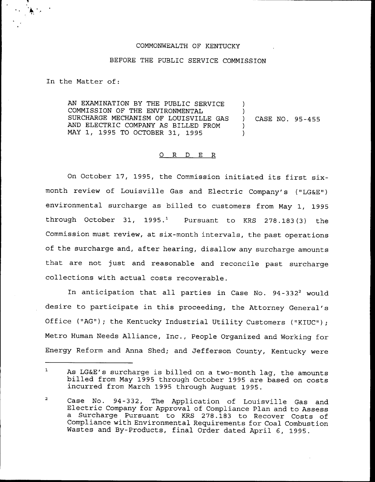# COMMONWEALTH OF KENTUCKY

### BEFORE THE PUBLIC SERVICE COMMISSION

In the Matter of:

AN EXAMINATION BY THE PUBLIC SERVICE COMMISSION OF THE ENVIRONMENTAL SURCHARGE MECHANISM OF LOUISVILLE GAS AND ELECTRIC COMPANY AS BILLED FROM MAY 1, 1995 TO OCTOBER 31, 1995

) CASE NO. 95-455

)  $\left\{ \right.$ )

) )

## 0 R <sup>D</sup> E R

On October 17, 1995, the Commission initiated its first sixmonth review of Louisville Gas and Electric Company's ("LG&E") environmental surcharge as billed to customers from May 1, 1995 through October 31, 1995.<sup>1</sup> Pursuant to KRS 278.183(3) the Commission must review, at six-month intervals, the past operations of the surcharge and, after hearing, disallow any surcharge amounts that are not just and reasonable and reconcile past surcharge collections with actual costs recoverable.

In anticipation that all parties in Case No. 94-332<sup>2</sup> would desire to participate in this proceeding, the Attorney General' Office ("AG"); the Kentucky Industrial Utility Customers ("KIUC"); Metro Human Needs Alliance, Inc., People Organized and Working for Energy Reform and Anna Shed; and Jefferson County, Kentucky were

 $\mathbf 1$ As LG&E's surcharge is billed on <sup>a</sup> two-month lag, the amounts billed from May <sup>1995</sup> through October <sup>1995</sup> are based on costs incurred from March <sup>1995</sup> through August 1995.

 $\overline{a}$ Case No. 94-332, The Application of Louisville Gas and Electric Company for Approval of Compliance Plan and to Assess a Surcharge Pursuant to KRS 278.183 to Recover Costs of Compliance with Environmental Requirements for Coal Combustion Wastes and By-Products, final Order dated April 6, 1995.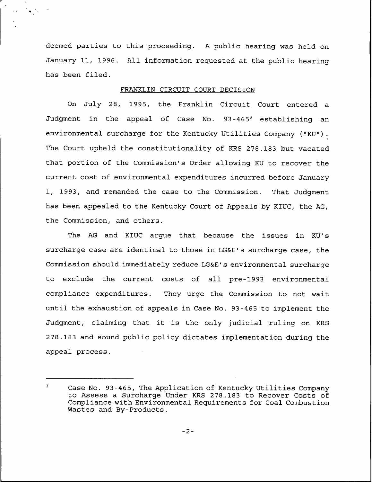deemed parties to this proceeding. <sup>A</sup> public hearing was held on January 11, 1996. All information requested at the public hearing has been filed.

 $\mathbf{A} \in \mathbb{R}^d$ 

# FRANKLIN CIRCUIT COURT DECISION

On July 28, 1995, the Franklin Circuit Court entered a Judgment in the appeal of Case No. 93-465<sup>3</sup> establishing an environmental surcharge for the Kentucky Utilities Company ("KU"). I The Court upheld the constitutionality of KRS 278.183 but vacated that portion of the Commission's Order allowing KU to recover the current cost of environmental expenditures incurred before January 1, 1993, and remanded the case to the Commission. That Judgment has been appealed to the Kentucky Court of Appeals by KIUC, the AG, the Commission, and others.

The AG and KIUC argue that because the issues in KU's surcharge case are identical to those in LG&E's surcharge case, the Commission should immediately reduce LG6E's environmental surcharge to exclude the current costs of all pre-1993 environmental compliance expenditures. They urge the Commission to not wait until the exhaustion of appeals in Case No. 93-465 to implement the Judgment, claiming that it is the only judicial ruling on KRS 278.183 and sound public policy dictates implementation during the appeal process.

 $-2-$ 

 $\overline{\mathbf{3}}$ Case No. 93-465, The Application of Kentucky Utilities Company to Assess a Surcharge Under KRS 278.183 to Recover Costs of Compliance with Environmental Requirements for Coal Combustion Wastes and By-Products.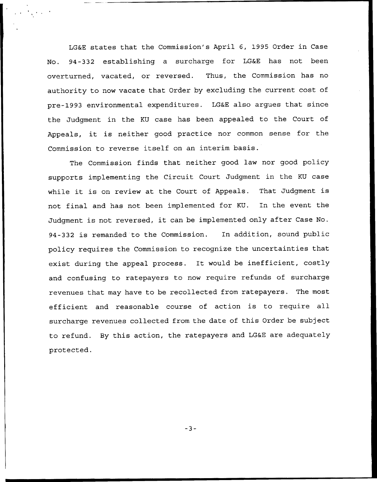LG&E states that the Commission's April 6, 1995 Order in Case No. 94-332 establishing a surcharge for LG&E has not been overturned, vacated, or reversed. Thus, the Commission has no authority to now vacate that Order by excluding the current cost of pre-1993 environmental expenditures. LG&E also argues that since the Judgment in the KU case has been appealed to the Court of Appeals, it is neither good practice nor common sense for the Commission to reverse itself on an interim basis.

The Commission finds that neither good law nor good policy supports implementing the Circuit Court Judgment in the KU case while it is on review at the Court of Appeals. That Judgment is not final and has not been implemented for KU. In the event the Judgment is not reversed, it can be implemented only after Case No. 94-332 is remanded to the Commission. In addition, sound public policy requires the Commission to recognize the uncertainties that exist during the appeal process. It would be inefficient, costly and confusing to ratepayers to now require refunds of surcharge revenues that may have to be recollected from ratepayers. The most efficient and reasonable course of action is to require all surcharge revenues collected from the date of this Order be subject to refund. By this action, the ratepayers and LG&E are adequately protected.

 $-3-$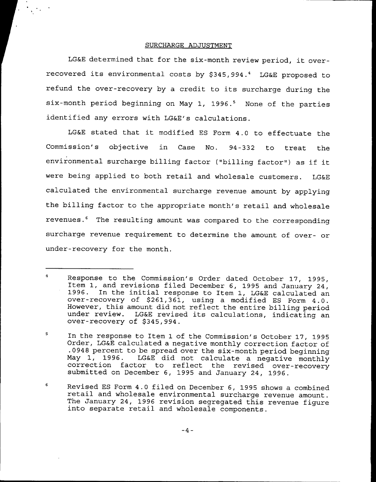### SURCHARGE ADJUSTMENT

LG&E determined that for the six-month review period, it overrecovered its environmental costs by \$345,994.<sup>4</sup> LG&E proposed to refund the over-recovery by <sup>a</sup> credit to its surcharge during the six-month period beginning on May 1, 1996.<sup>5</sup> None of the parties identified any errors with LG&E's calculations.

LG&E stated that it modified ES Form 4.0 to effectuate the Commission's objective in Case No. 94-332 to treat the environmental surcharge billing factor {"billing factor") as if it were being applied to both retail and wholesale customers. LG&E calculated the environmental surcharge revenue amount by applying the billing factor to the appropriate month's retail and wholesale revenues.<sup>6</sup> The resulting amount was compared to the corresponding surcharge revenue requirement to determine the amount of over- or under-recovery for the month.

 $\boldsymbol{6}$ Revised ES Form 4.0 filed on December 6, <sup>1995</sup> shows <sup>a</sup> combined retail and wholesale environmental surcharge revenue amount. The January 24, <sup>1996</sup> revision segregated this revenue figure into separate retail and wholesale components.

 $-4-$ 

 $\overline{4}$ Response to the Commission's Order dated October 17, 1995, Item 1, and revisions filed December 6, 1995 and January 24, Item 1, and revisions filed December 6, <sup>1995</sup> and January 24, 1996. In the initial response to Item 1, LG&E calculated an over-recovery of \$261,361, using a modified ES Form 4.0. However, this amount did not reflect the entire billing period under review. LG&E revised its calculations, indicating an over-recovery of \$345,994.

<sup>5</sup> In the response to Item 1 of the Commission's October 17, 1995 Order, LG&E calculated a negative monthly correction factor of .0948 percent to be spread over the six-month period beginning May 1, 1996. LG&E did not calculate a negative monthly correction factor to reflect the revised over-recovery submitted on December 6, 1995 and January 24, 1996.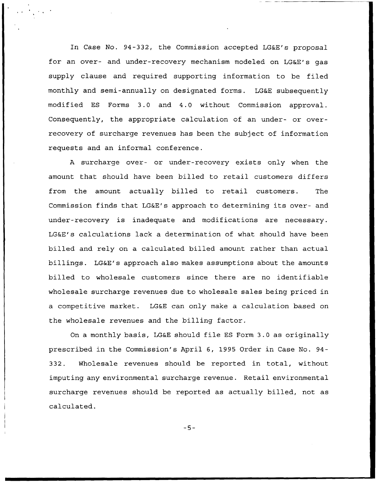In Case No. 94-332, the Commission accepted LG&E's proposal for an over- and under-recovery mechanism modeled on LG&E's gas supply clause and required supporting information to be filed monthly and semi-annually on designated forms. LG&E subsequently modified ES Forms 3.0 and 4.0 without Commission approval. Consequently, the appropriate calculation of an under- or overrecovery of surcharge revenues has been the subject of information requests and an informal conference.

<sup>A</sup> surcharge over- or under-recovery exists only when the amount that should have been billed to retail customers differs from the amount actually billed to retail customers. The Commission finds that LG&E's approach to determining its over- and under-recovery is inadequate and modifications are necessary. LG&E's calculations lack a determination of what should have been billed and rely on a calculated billed amount rather than actual billings. LG&E's approach also makes assumptions about the amounts billed to wholesale customers since there are no identifiable wholesale surcharge revenues due to wholesale sales being priced in a competitive market. LG&E can only make a calculation based on the wholesale revenues and the billing factor.

On a monthly basis, LG&E should file ES Form 3.0 as originally prescribed in the Commission's April 6, 1995 Order in Case No. 94- 332. Wholesale revenues should be reported in total, without imputing any environmental surcharge revenue. Retail environmental surcharge revenues should be reported as actually billed, not as calculated.

 $-5-$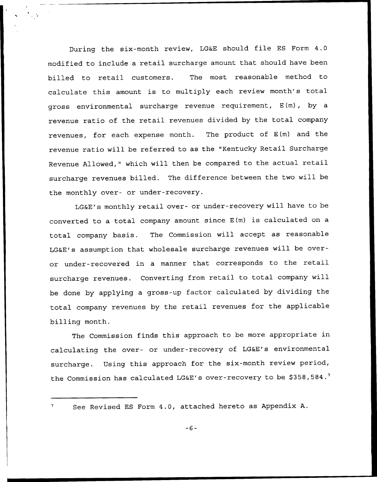During the six-month review, LG&E should file ES Form 4.0 modified to include a retail surcharge amount that should have been billed to retail customers. The most reasonable method to calculate this amount is to multiply each review month's total gross environmental surcharge revenue requirement, E(m), by a revenue ratio of the retail revenues divided by the total company revenues, for each expense month. The product of E(m) and the revenue ratio will be referred to as the "Kentucky Retail Surcharge Revenue Allowed," which will then be compared to the actual retail surcharge revenues billed. The difference between the two will be the monthly over- or under-recovery.

LGEE's monthly retail over- or under-recovery will have to be converted to <sup>a</sup> total company amount since E(m) is calculated on <sup>a</sup> total company basis. The Commission will accept as reasonable LGKE's assumption that wholesale surcharge revenues will be overor under-recovered in <sup>a</sup> manner that corresponds to the retail surcharge revenues. Converting from retail to total company will be done by applying a gross-up factor calculated by dividing the total company revenues by the retail revenues for the applicable billing month.

The Commission finds this approach to be more appropriate in calculating the over- or under-recovery of LG&E's environmental surcharge. Using this approach for the six-month review period, the Commission has calculated LG&E's over-recovery to be \$358,584.<sup>7</sup>

See Revised ES Form 4.0, attached hereto as Appendix A.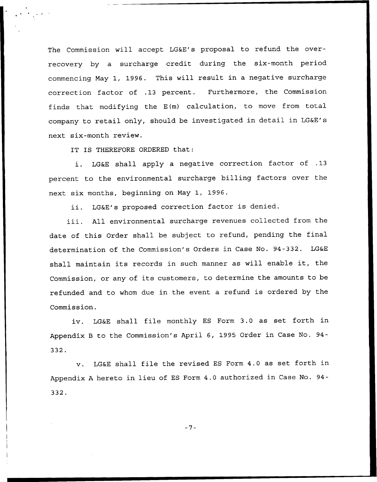The Commission will accept LG&E's proposal to refund the overrecovery by a surcharge credit during the six-month period commencing May 1, 1996. This will result in a negative surcharge correction factor of .13 percent. Furthermore, the Commission finds that modifying the E(m) calculation, to move from total company to retail only, should be investigated in detail in LG&E's next six-month review.

IT IS THEREFORE ORDERED that:

i. LG&E shall apply <sup>a</sup> negative correction factor of .13 percent to the environmental surcharge billing factors over the next six months, beginning on May 1, 1996.

ii. LG&E's proposed correction factor is denied.

iii. All environmental surcharge revenues collected from the date of this Order shall be subject to refund, pending the final determination of the Commission's Orders in Case No. 94-332. LG&E shall maintain its records in such manner as will enable it, the Commission, or any of its customers, to determine the amounts to be refunded and to whom due in the event <sup>a</sup> refund is ordered by the Commission.

iv. LG&E shall file monthly ES Form 3.0 as set forth in Appendix <sup>B</sup> to the Commission's April 6, 1995 Order in Case No. 94- 332.

v. LG&E shall file the revised ES Form 4.0 as set forth in Appendix <sup>A</sup> hereto in lieu of ES Form 4.0 authorized in Case No. 94- 332.

 $-7-$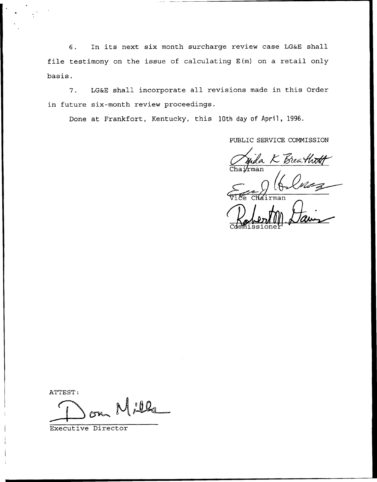6. In its next six month surcharge review case LG&E shall file testimony on the issue of calculating E(m) on a retail only basis.

7. LG&E shall incorporate all revisions made in this Order in future six-month review proceedings.

Done at Frankfort, Kentucky, this 10th day of April, 1996.

PUBLIC SERVICE COMMISSION

juda K Breath<del>n</del><br>Iman

Commissione

ATTEST:

 $A \cdot 0Q$ 

Executive Director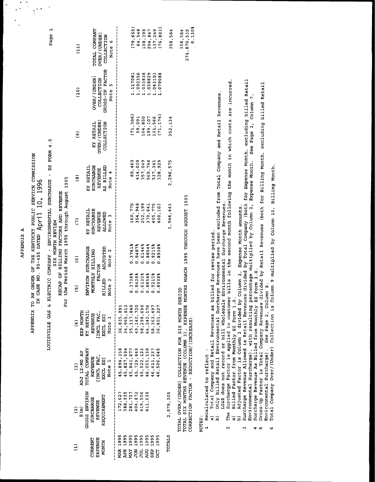| 4       |
|---------|
| ×<br>i  |
| ï<br>t. |

# APPENDIX TO AM ORDER OF THE KENTUCKY PUBLIC SERVICE COMMISSION<br>IN CASE NO. 95-455 DATED April 10, 1996

LOUISVILLE GAS & ELECTRIC COMPANY - ENVIRONMENTAL SURCHARGE - ES FORM 4.0

RECAP OF BILLING FACTORS AND REVENUE SIX MONTH REVIEW

For the Period March 1995 through August 1995

| (11)                   | <b>LOIFT CONFANA</b><br>OVER/(UNDER)<br>COLLECTION<br>Note 6                 | 76, 803<br>79,655)<br>137,249<br>64,548<br>108,398<br>204,847                                                                                        | 358,584       |
|------------------------|------------------------------------------------------------------------------|------------------------------------------------------------------------------------------------------------------------------------------------------|---------------|
| (10)                   | GROSS-UP FACTOR<br>OVER/(UNDER)<br>COLLECTION<br>Note 5                      | .092356<br>.033838<br>.028829<br>.043193<br>880675.<br>.117081                                                                                       |               |
| $\widehat{\mathbf{e}}$ | OVER/(UNDER)<br>KY RETAIL<br>COLLECTION                                      | ************************<br>(71, 306)<br>71, 174)<br>59,091<br>104,850<br>199,107<br>131,566                                                         | 352,134       |
| ම                      | <b>SURCHARGE</b><br>KY RETAIL<br>AS BILLED<br><b>REVENUE</b><br>Note 4       | 89,469<br>569,748<br>414,039<br>357,049<br>128,929<br>537,341<br>                                                                                    | 2,296,575     |
| $\tilde{c}$            | SURCHARGE<br>KY RETAIL<br><b>ALLOWED</b><br><b>REVENUE</b><br>Note 3         | 354,948<br>252,199<br>160,775<br>105,775<br>370,641<br>100,103<br>ききミオ さとととき                                                                         | 1,944,441     |
| $\widehat{\mathbf{e}}$ | ENVIRON SURCHARGE<br>MONTHLY BILLING<br>Note 2                               | はきときてきよう きかききかすきききききき<br>0.3761%<br>0.8854%<br>0.8487%<br>0.6146%<br>0.9215%<br>0.8938%                                                              |               |
| $\overline{5}$         | BILLED ADJUSTED<br><b>FACTOR</b><br>Note 2                                   | 0.3738%<br>0.8428%<br>0.6100%<br>0.88548<br>0.9215%<br>0.8938%                                                                                       |               |
| $\mathbf{G}$           | KY RETAIL<br>EXP MONTH<br>[INCL FAC,<br>EXCL ES]<br>Note 1<br>REVENUE        | 36,835,891<br>49,140,720<br>58,298,698<br>15,117,840<br>64, 242, 176<br>58, 363, 497<br>34,965,813<br>16,801,227                                     |               |
| $\widehat{c}$          | TOTAL COMPANY<br>ADJ 12-MO AV<br>REVENUE<br>[INCL FAC,<br>EXCL ES]<br>Mote 1 | 45,894,358<br>45,827,594<br>45,841,877<br>45,729,449<br>46,055,138<br>5,522,123<br>46,611,237<br>6,506,645<br>*********                              |               |
| $\widehat{a}$          | GROSS ENVIRON<br>REQUIREMENT<br><b>SURCHARGE</b><br><b>REVENUE</b><br>E(m)   | りししししししし<br>172,627<br>388,935<br>281,727<br>404,872<br>111,638<br>119,506                                                                           | 2,079,305     |
| Ξ                      | <b>EXPENSE</b><br><b>URRENT</b><br><b>NONTH</b>                              | ,,,,,,,,<br><b>MAR 1995</b><br><b>APR 1995</b><br>1995<br>1995<br>1995<br>1995<br>1995<br>1995<br>МŅ<br>SEP <sup>1</sup><br><b>គ្គី</b><br>ដូន<br>ដូ | <b>TOTALS</b> |

TOTAL SIX MONTHS REVENUE (COLUMN 3), EXPENSE MONTHS MARCH 1995 THROUGH AUGUST 1995<br>CORRECTION FACTOR - REDUCTION/(INCREASE) TOTAL OVER/(UNDER) COLLECTION FOR SIX MONTH PERIOD

 $0.130%$ 

274,870,539 358,584

NOTES:

- 1 Recalculated to reflect -
- $\widehat{a}$
- Total Company and Retail Revenues as billed for review period.<br>Only billed Retail Environmental Surcharge Revenues have been excluded from Total Company and Retail Revenues.  $\hat{a}$
- The Surcharge Factor is applied to customer bills in the second month following the month in which costs are incurred. LG&E does not record or bill Wholesale Environmental Surcharge Revenues.  $\mathbf{\hat{z}}$ 
	- Billed Factor from Monthly ES Form 1.0.  $\widehat{a}$ 
		-
- b) Adjusted Factor is Column<sup>'</sup>2 divided by Column 3, Expense Month amounts.<br>Surcharge Revenue Allowed is Retail Revenues divided by Total Company (both for Expense Month, excluding billed Retail<br>Environmental Surcharge),  $\ddot{\phantom{1}}$ 
	- $\frac{4}{5}$  in
- Gross-Up Factor is Total Company Revenues divided by Retail Revenues (both for Billing Month, excluding billed Retail Environmental Surcharge). See Page 2, Column 8.<br>Total Company Over/(Under) Collection is Column 9 multiplied by Column 10, Billing Month.
	- $\bullet$

Page 1

 $\ddot{\phantom{a}}$ 

 $\frac{1}{2}$  $\frac{1}{2}$  $\frac{1}{2}$